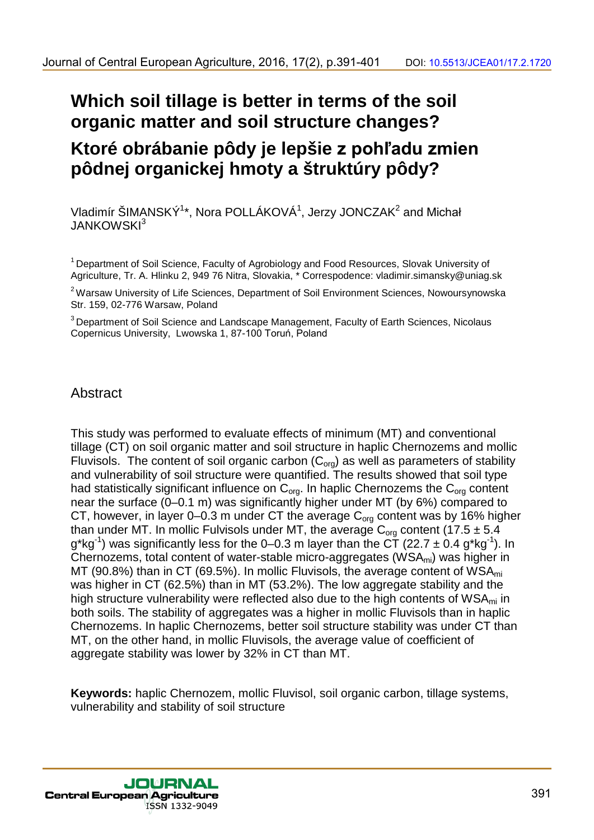# **Which soil tillage is better in terms of the soil organic matter and soil structure changes? Ktoré obrábanie pôdy je lepšie z pohľadu zmien pôdnej organickej hmoty a štruktúry pôdy?**

Vladimír ŠIMANSKÝ<sup>1\*</sup>, Nora POLLÁKOVÁ<sup>1</sup>, Jerzy JONCZAK<sup>2</sup> and Michał JANKOWSKI<sup>3</sup>

<sup>1</sup> Department of Soil Science, Faculty of Agrobiology and Food Resources, Slovak University of Agriculture, Tr. A. Hlinku 2, 949 76 Nitra, Slovakia, \* Correspodence: vladimir.simansky@uniag.sk

<sup>2</sup> Warsaw University of Life Sciences, Department of Soil Environment Sciences, Nowoursynowska Str. 159, 02-776 Warsaw, Poland

<sup>3</sup> Department of Soil Science and Landscape Management, Faculty of Earth Sciences, Nicolaus Copernicus University, Lwowska 1, 87-100 Toruń, Poland

## Abstract

This study was performed to evaluate effects of minimum (MT) and conventional tillage (CT) on soil organic matter and soil structure in haplic Chernozems and mollic Fluvisols. The content of soil organic carbon  $(C_{org})$  as well as parameters of stability and vulnerability of soil structure were quantified. The results showed that soil type had statistically significant influence on  $C_{\text{ora}}$ . In haplic Chernozems the  $C_{\text{ora}}$  content near the surface (0–0.1 m) was significantly higher under MT (by 6%) compared to CT, however, in layer 0–0.3 m under CT the average  $C_{org}$  content was by 16% higher than under MT. In mollic Fulvisols under MT, the average  $C_{\text{ora}}$  content (17.5  $\pm$  5.4 g\*kg<sup>-1</sup>) was significantly less for the 0–0.3 m layer than the CT (22.7  $\pm$  0.4 g\*kg<sup>-1</sup>). In Chernozems, total content of water-stable micro-aggregates ( $WSA<sub>mi</sub>$ ) was higher in MT (90.8%) than in CT (69.5%). In mollic Fluvisols, the average content of  $WSA<sub>mi</sub>$ was higher in CT (62.5%) than in MT (53.2%). The low aggregate stability and the high structure vulnerability were reflected also due to the high contents of  $WSA<sub>mi</sub>$  in both soils. The stability of aggregates was a higher in mollic Fluvisols than in haplic Chernozems. In haplic Chernozems, better soil structure stability was under CT than MT, on the other hand, in mollic Fluvisols, the average value of coefficient of aggregate stability was lower by 32% in CT than MT.

**Keywords:** haplic Chernozem, mollic Fluvisol, soil organic carbon, tillage systems, vulnerability and stability of soil structure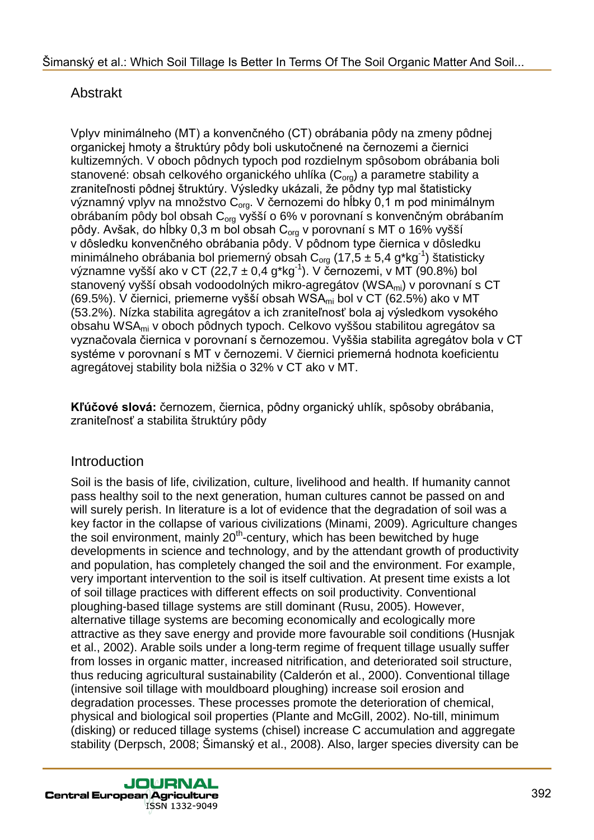## Abstrakt

Vplyv minimálneho (MT) a konvenčného (CT) obrábania pôdy na zmeny pôdnej organickej hmoty a štruktúry pôdy boli uskutočnené na černozemi a čiernici kultizemných. V oboch pôdnych typoch pod rozdielnym spôsobom obrábania boli stanovené: obsah celkového organického uhlíka (C<sub>org</sub>) a parametre stability a zraniteľnosti pôdnej štruktúry. Výsledky ukázali, že pôdny typ mal štatisticky významný vplyv na množstvo C<sub>org</sub>. V černozemi do hĺbky 0,1 m pod minimálnym obrábaním pôdy bol obsah  $C_{\text{ora}}$  vyšší o 6% v porovnaní s konvenčným obrábaním pôdy. Avšak, do hĺbky 0,3 m bol obsah C<sub>org</sub> v porovnaní s MT o 16% vyšší v dôsledku konvenčného obrábania pôdy. V pôdnom type čiernica v dôsledku minimálneho obrábania bol priemerný obsah C<sub>org</sub> (17,5 ± 5,4 g\*kg<sup>-1</sup>) štatisticky významne vyšší ako v CT (22,7  $\pm$  0,4 g\*kg<sup>-1</sup>). V černozemi, v MT (90.8%) bol stanovený vyšší obsah vodoodolných mikro-agregátov (WSA<sub>mi</sub>) v porovnaní s CT (69.5%). V čiernici, priemerne vyšší obsah WSAmi bol v CT (62.5%) ako v MT (53.2%). Nízka stabilita agregátov a ich zraniteľnosť bola aj výsledkom vysokého obsahu WSAmi v oboch pôdnych typoch. Celkovo vyššou stabilitou agregátov sa vyznačovala čiernica v porovnaní s černozemou. Vyššia stabilita agregátov bola v CT systéme v porovnaní s MT v černozemi. V čiernici priemerná hodnota koeficientu agregátovej stability bola nižšia o 32% v CT ako v MT.

**Kľúčové slová:** černozem, čiernica, pôdny organický uhlík, spôsoby obrábania, zraniteľnosť a stabilita štruktúry pôdy

## Introduction

Soil is the basis of life, civilization, culture, livelihood and health. If humanity cannot pass healthy soil to the next generation, human cultures cannot be passed on and will surely perish. In literature is a lot of evidence that the degradation of soil was a key factor in the collapse of various civilizations (Minami, 2009). Agriculture changes the soil environment, mainly 20<sup>th</sup>-century, which has been bewitched by huge developments in science and technology, and by the attendant growth of productivity and population, has completely changed the soil and the environment. For example, very important intervention to the soil is itself cultivation. At present time exists a lot of soil tillage practices with different effects on soil productivity. Conventional ploughing-based tillage systems are still dominant (Rusu, 2005). However, alternative tillage systems are becoming economically and ecologically more attractive as they save energy and provide more favourable soil conditions (Husnjak et al., 2002). Arable soils under a long-term regime of frequent tillage usually suffer from losses in organic matter, increased nitrification, and deteriorated soil structure, thus reducing agricultural sustainability (Calderón et al., 2000). Conventional tillage (intensive soil tillage with mouldboard ploughing) increase soil erosion and degradation processes. These processes promote the deterioration of chemical, physical and biological soil properties (Plante and McGill, 2002). No-till, minimum (disking) or reduced tillage systems (chisel) increase C accumulation and aggregate stability (Derpsch, 2008; Šimanský et al., 2008). Also, larger species diversity can be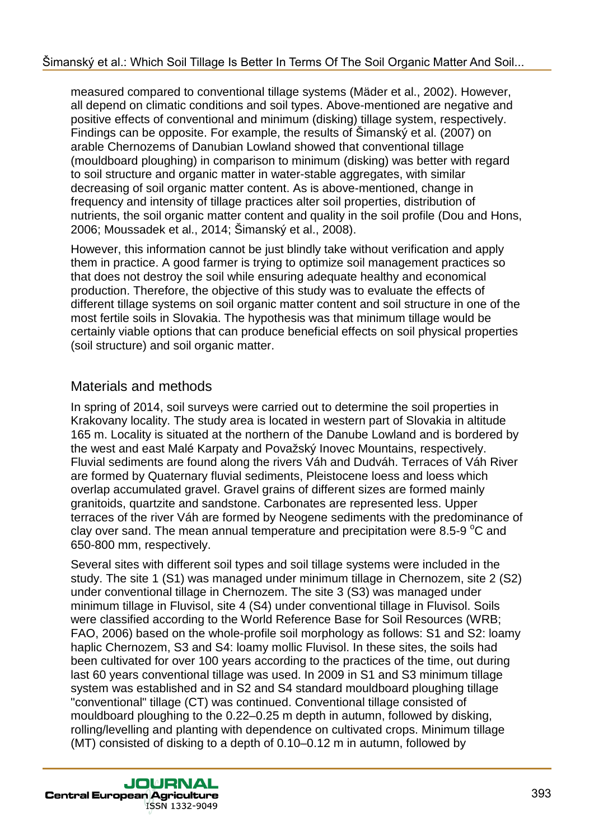measured compared to conventional tillage systems (Mäder et al., 2002). However, all depend on climatic conditions and soil types. Above-mentioned are negative and positive effects of conventional and minimum (disking) tillage system, respectively. Findings can be opposite. For example, the results of Šimanský et al. (2007) on arable Chernozems of Danubian Lowland showed that conventional tillage (mouldboard ploughing) in comparison to minimum (disking) was better with regard to soil structure and organic matter in water-stable aggregates, with similar decreasing of soil organic matter content. As is above-mentioned, change in frequency and intensity of tillage practices alter soil properties, distribution of nutrients, the soil organic matter content and quality in the soil profile (Dou and Hons, 2006; Moussadek et al., 2014; Šimanský et al., 2008).

However, this information cannot be just blindly take without verification and apply them in practice. A good farmer is trying to optimize soil management practices so that does not destroy the soil while ensuring adequate healthy and economical production. Therefore, the objective of this study was to evaluate the effects of different tillage systems on soil organic matter content and soil structure in one of the most fertile soils in Slovakia. The hypothesis was that minimum tillage would be certainly viable options that can produce beneficial effects on soil physical properties (soil structure) and soil organic matter.

### Materials and methods

In spring of 2014, soil surveys were carried out to determine the soil properties in Krakovany locality. The study area is located in western part of Slovakia in altitude 165 m. Locality is situated at the northern of the Danube Lowland and is bordered by the west and east Malé Karpaty and Považský Inovec Mountains, respectively. Fluvial sediments are found along the rivers Váh and Dudváh. Terraces of Váh River are formed by Quaternary fluvial sediments, Pleistocene loess and loess which overlap accumulated gravel. Gravel grains of different sizes are formed mainly granitoids, quartzite and sandstone. Carbonates are represented less. Upper terraces of the river Váh are formed by Neogene sediments with the predominance of clay over sand. The mean annual temperature and precipitation were 8.5-9  $^{\circ}$ C and 650-800 mm, respectively.

Several sites with different soil types and soil tillage systems were included in the study. The site 1 (S1) was managed under minimum tillage in Chernozem, site 2 (S2) under conventional tillage in Chernozem. The site 3 (S3) was managed under minimum tillage in Fluvisol, site 4 (S4) under conventional tillage in Fluvisol. Soils were classified according to the World Reference Base for Soil Resources (WRB; FAO, 2006) based on the whole-profile soil morphology as follows: S1 and S2: loamy haplic Chernozem, S3 and S4: loamy mollic Fluvisol. In these sites, the soils had been cultivated for over 100 years according to the practices of the time, out during last 60 years conventional tillage was used. In 2009 in S1 and S3 minimum tillage system was established and in S2 and S4 standard mouldboard ploughing tillage "conventional" tillage (CT) was continued. Conventional tillage consisted of mouldboard ploughing to the 0.22–0.25 m depth in autumn, followed by disking, rolling/levelling and planting with dependence on cultivated crops. Minimum tillage (MT) consisted of disking to a depth of 0.10–0.12 m in autumn, followed by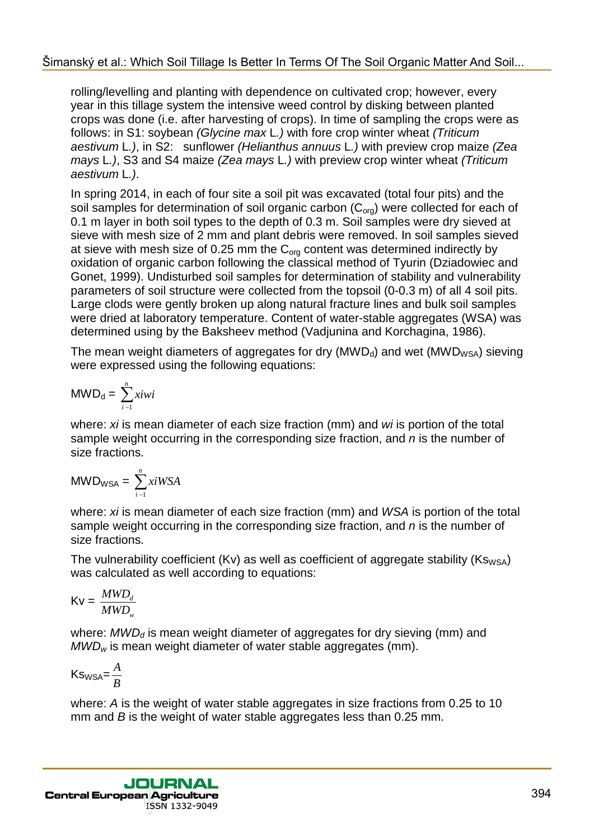rolling/levelling and planting with dependence on cultivated crop; however, every year in this tillage system the intensive weed control by disking between planted crops was done (i.e. after harvesting of crops). In time of sampling the crops were as follows: in S1: soybean *(Glycine max* L*.)* with fore crop winter wheat *(Triticum aestivum* L*.)*, in S2: sunflower *(Helianthus annuus* L*.)* with preview crop maize *(Zea mays* L*.)*, S3 and S4 maize *(Zea mays* L*.)* with preview crop winter wheat *(Triticum aestivum* L*.)*.

In spring 2014, in each of four site a soil pit was excavated (total four pits) and the soil samples for determination of soil organic carbon  $(C<sub>ora</sub>)$  were collected for each of 0.1 m layer in both soil types to the depth of 0.3 m. Soil samples were dry sieved at sieve with mesh size of 2 mm and plant debris were removed. In soil samples sieved at sieve with mesh size of 0.25 mm the  $C_{org}$  content was determined indirectly by oxidation of organic carbon following the classical method of Tyurin (Dziadowiec and Gonet, 1999). Undisturbed soil samples for determination of stability and vulnerability parameters of soil structure were collected from the topsoil (0-0.3 m) of all 4 soil pits. Large clods were gently broken up along natural fracture lines and bulk soil samples were dried at laboratory temperature. Content of water-stable aggregates (WSA) was determined using by the Baksheev method (Vadjunina and Korchagina, 1986).

The mean weight diameters of aggregates for dry ( $MWD<sub>d</sub>$ ) and wet ( $MWD<sub>WSA</sub>$ ) sieving were expressed using the following equations:

$$
MWD_d = \sum_{i=1}^{n} xiwi
$$

where: *xi* is mean diameter of each size fraction (mm) and *wi* is portion of the total sample weight occurring in the corresponding size fraction, and *n* is the number of size fractions.

$$
MWD_{WSA} = \sum_{i=1}^{n} x i WSA
$$

where: *xi* is mean diameter of each size fraction (mm) and *WSA* is portion of the total sample weight occurring in the corresponding size fraction, and *n* is the number of size fractions.

The vulnerability coefficient (Kv) as well as coefficient of aggregate stability ( $Ks_{WSA}$ ) was calculated as well according to equations:

$$
Kv = \frac{MWD_d}{MWD_w}
$$

where: *MWD*<sub>d</sub> is mean weight diameter of aggregates for dry sieving (mm) and *MWDw* is mean weight diameter of water stable aggregates (mm).

$$
\mathsf{Ks}_{\mathsf{WSA}} = \frac{A}{B}
$$

where: *A* is the weight of water stable aggregates in size fractions from 0.25 to 10 mm and *B* is the weight of water stable aggregates less than 0.25 mm.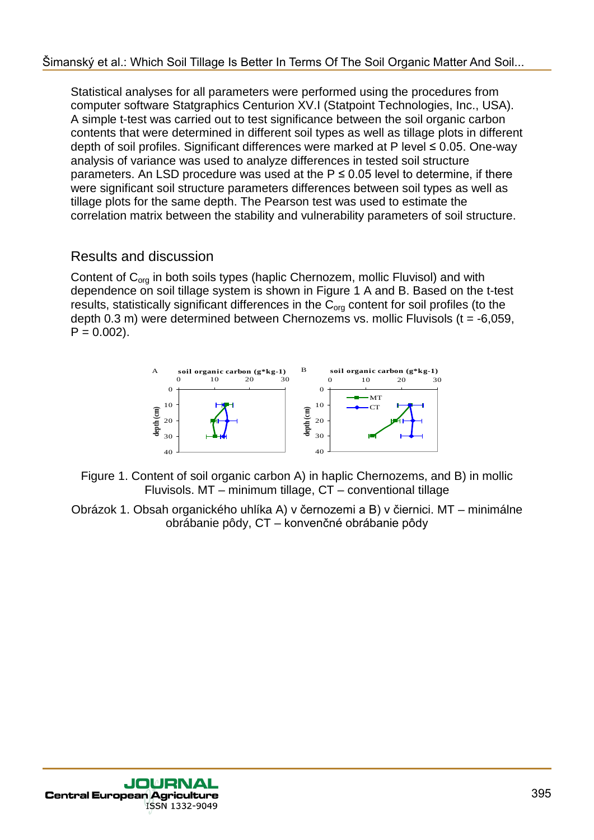Statistical analyses for all parameters were performed using the procedures from computer software Statgraphics Centurion XV.I (Statpoint Technologies, Inc., USA). A simple t-test was carried out to test significance between the soil organic carbon contents that were determined in different soil types as well as tillage plots in different depth of soil profiles. Significant differences were marked at P level ≤ 0.05. One-way analysis of variance was used to analyze differences in tested soil structure parameters. An LSD procedure was used at the  $P \le 0.05$  level to determine, if there were significant soil structure parameters differences between soil types as well as tillage plots for the same depth. The Pearson test was used to estimate the correlation matrix between the stability and vulnerability parameters of soil structure.

## Results and discussion

Content of  $C_{\text{ora}}$  in both soils types (haplic Chernozem, mollic Fluvisol) and with dependence on soil tillage system is shown in Figure 1 A and B. Based on the t-test results, statistically significant differences in the  $C_{\text{ora}}$  content for soil profiles (to the depth 0.3 m) were determined between Chernozems vs. mollic Fluvisols ( $t = -6,059$ ,  $P = 0.002$ ).



- Figure 1. Content of soil organic carbon A) in haplic Chernozems, and B) in mollic Fluvisols. MT – minimum tillage, CT – conventional tillage
- Obrázok 1. Obsah organického uhlíka A) v černozemi a B) v čiernici. MT minimálne obrábanie pôdy, CT – konvenčné obrábanie pôdy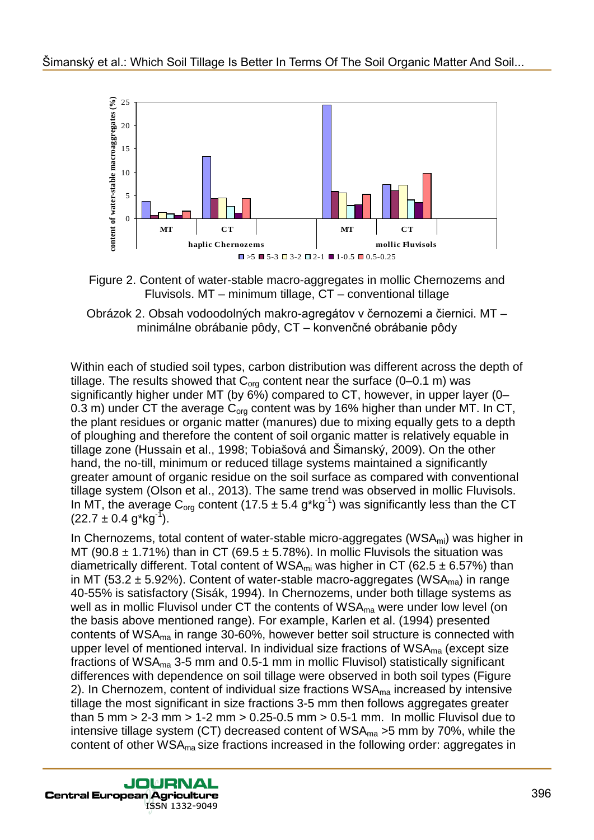

Figure 2. Content of water-stable macro-aggregates in mollic Chernozems and Fluvisols. MT – minimum tillage, CT – conventional tillage



Within each of studied soil types, carbon distribution was different across the depth of tillage. The results showed that  $C_{org}$  content near the surface (0–0.1 m) was significantly higher under MT (by 6%) compared to CT, however, in upper layer (0– 0.3 m) under CT the average  $C_{\text{ora}}$  content was by 16% higher than under MT. In CT, the plant residues or organic matter (manures) due to mixing equally gets to a depth of ploughing and therefore the content of soil organic matter is relatively equable in tillage zone (Hussain et al., 1998; Tobiašová and Šimanský, 2009). On the other hand, the no-till, minimum or reduced tillage systems maintained a significantly greater amount of organic residue on the soil surface as compared with conventional tillage system (Olson et al., 2013). The same trend was observed in mollic Fluvisols. In MT, the average C<sub>org</sub> content (17.5  $\pm$  5.4 g\*kg<sup>-1</sup>) was significantly less than the CT  $(22.7 \pm 0.4 \text{ g}^{\ast} \text{kg}^{\{-1\}}).$ 

In Chernozems, total content of water-stable micro-aggregates ( $WSA<sub>mi</sub>$ ) was higher in MT (90.8  $\pm$  1.71%) than in CT (69.5  $\pm$  5.78%). In mollic Fluvisols the situation was diametrically different. Total content of WSA<sub>mi</sub> was higher in CT (62.5  $\pm$  6.57%) than in MT (53.2  $\pm$  5.92%). Content of water-stable macro-aggregates (WSA<sub>ma</sub>) in range 40-55% is satisfactory (Sisák, 1994). In Chernozems, under both tillage systems as well as in mollic Fluvisol under CT the contents of WSA<sub>ma</sub> were under low level (on the basis above mentioned range). For example, Karlen et al. (1994) presented contents of WSAma in range 30-60%, however better soil structure is connected with upper level of mentioned interval. In individual size fractions of  $WSA_{ma}$  (except size fractions of WSAma 3-5 mm and 0.5-1 mm in mollic Fluvisol) statistically significant differences with dependence on soil tillage were observed in both soil types (Figure 2). In Chernozem, content of individual size fractions  $WSA_{ma}$  increased by intensive tillage the most significant in size fractions 3-5 mm then follows aggregates greater than 5 mm  $> 2-3$  mm  $> 1-2$  mm  $> 0.25-0.5$  mm  $> 0.5-1$  mm. In mollic Fluvisol due to intensive tillage system (CT) decreased content of  $WSA_{ma} > 5$  mm by 70%, while the content of other WSAma size fractions increased in the following order: aggregates in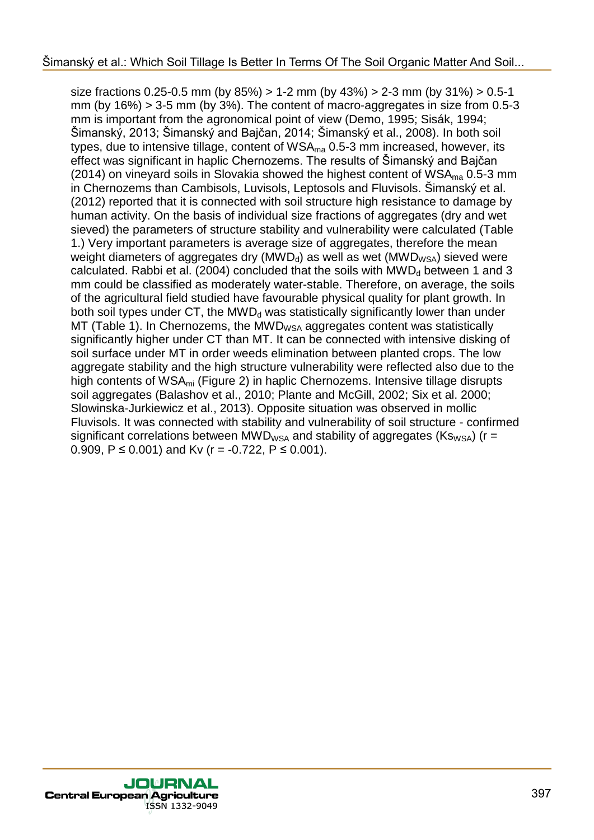size fractions  $0.25$ -0.5 mm (by  $85\%) > 1$ -2 mm (by  $43\%) > 2$ -3 mm (by  $31\%) > 0.5$ -1 mm (by  $16\%$ ) > 3-5 mm (by 3%). The content of macro-aggregates in size from 0.5-3 mm is important from the agronomical point of view (Demo, 1995; Sisák, 1994; Šimanský, 2013; Šimanský and Bajčan, 2014; Šimanský et al., 2008). In both soil types, due to intensive tillage, content of  $WSA_{ma}$  0.5-3 mm increased, however, its effect was significant in haplic Chernozems. The results of Šimanský and Bajčan (2014) on vineyard soils in Slovakia showed the highest content of  $WSA_{ma}$  0.5-3 mm in Chernozems than Cambisols, Luvisols, Leptosols and Fluvisols. Šimanský et al. (2012) reported that it is connected with soil structure high resistance to damage by human activity. On the basis of individual size fractions of aggregates (dry and wet sieved) the parameters of structure stability and vulnerability were calculated (Table 1.) Very important parameters is average size of aggregates, therefore the mean weight diameters of aggregates dry ( $MWD<sub>d</sub>$ ) as well as wet ( $MWD<sub>WSA</sub>$ ) sieved were calculated. Rabbi et al. (2004) concluded that the soils with  $MWD<sub>d</sub>$  between 1 and 3 mm could be classified as moderately water-stable. Therefore, on average, the soils of the agricultural field studied have favourable physical quality for plant growth. In both soil types under  $CT$ , the MWD<sub>d</sub> was statistically significantly lower than under  $MT$  (Table 1). In Chernozems, the MWD<sub>WSA</sub> aggregates content was statistically significantly higher under CT than MT. It can be connected with intensive disking of soil surface under MT in order weeds elimination between planted crops. The low aggregate stability and the high structure vulnerability were reflected also due to the high contents of WSA<sub>mi</sub> (Figure 2) in haplic Chernozems. Intensive tillage disrupts soil aggregates (Balashov et al., 2010; Plante and McGill, 2002; Six et al. 2000; Slowinska-Jurkiewicz et al., 2013). Opposite situation was observed in mollic Fluvisols. It was connected with stability and vulnerability of soil structure - confirmed significant correlations between MWD<sub>WSA</sub> and stability of aggregates ( $Ks_{WSA}$ ) (r = 0.909,  $P \le 0.001$ ) and Kv (r = -0.722,  $P \le 0.001$ ).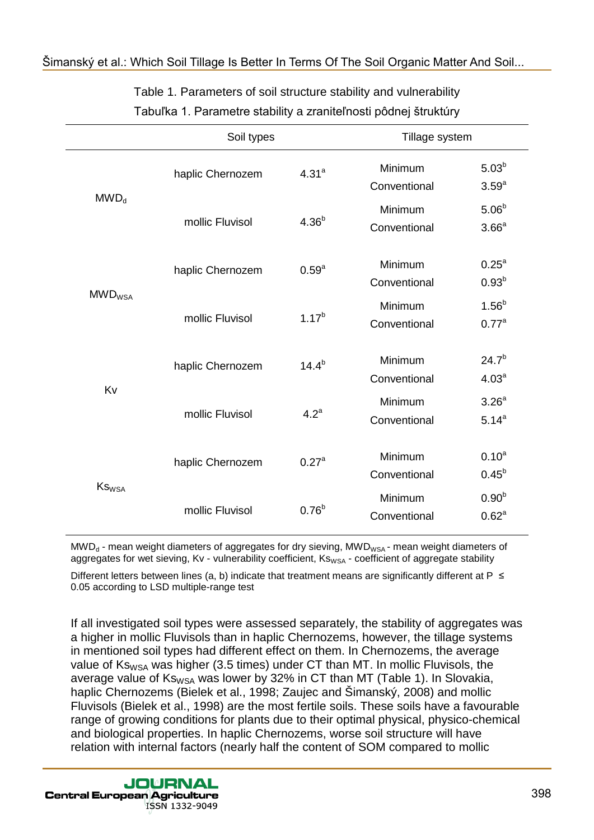|                           | Soil types       |                   | Tillage system          |                                 |
|---------------------------|------------------|-------------------|-------------------------|---------------------------------|
| MWD <sub>d</sub>          | haplic Chernozem | 4.31 <sup>a</sup> | Minimum<br>Conventional | $5.03^{b}$<br>3.59 <sup>a</sup> |
|                           | mollic Fluvisol  | 4.36 <sup>b</sup> | Minimum<br>Conventional | $5.06^{b}$<br>3.66 <sup>a</sup> |
| <b>MWD</b> <sub>WSA</sub> | haplic Chernozem | $0.59^{a}$        | Minimum<br>Conventional | 0.25 <sup>a</sup><br>$0.93^{b}$ |
|                           | mollic Fluvisol  | $1.17^{b}$        | Minimum<br>Conventional | $1.56^{b}$<br>0.77 <sup>a</sup> |
| Kv                        | haplic Chernozem | $14.4^{b}$        | Minimum<br>Conventional | $24.7^{b}$<br>4.03 <sup>a</sup> |
|                           | mollic Fluvisol  | 4.2 <sup>a</sup>  | Minimum<br>Conventional | 3.26 <sup>a</sup><br>$5.14^{a}$ |
| <b>KS</b> <sub>WSA</sub>  | haplic Chernozem | $0.27^{\circ}$    | Minimum<br>Conventional | $0.10^{a}$<br>$0.45^{b}$        |
|                           | mollic Fluvisol  | $0.76^{b}$        | Minimum<br>Conventional | $0.90^{b}$<br>0.62 <sup>a</sup> |

## Table 1. Parameters of soil structure stability and vulnerability

## Tabuľka 1. Parametre stability a zraniteľnosti pôdnej štruktúry

 $MWD<sub>d</sub>$  - mean weight diameters of aggregates for dry sieving,  $MWD<sub>WSA</sub>$  - mean weight diameters of aggregates for wet sieving, Kv - vulnerability coefficient, Ks<sub>WSA</sub> - coefficient of aggregate stability

Different letters between lines (a, b) indicate that treatment means are significantly different at P≤ 0.05 according to LSD multiple-range test

If all investigated soil types were assessed separately, the stability of aggregates was a higher in mollic Fluvisols than in haplic Chernozems, however, the tillage systems in mentioned soil types had different effect on them. In Chernozems, the average value of  $Ks_{WSA}$  was higher (3.5 times) under CT than MT. In mollic Fluvisols, the average value of  $Ks_{WSA}$  was lower by 32% in CT than MT (Table 1). In Slovakia, haplic Chernozems (Bielek et al., 1998; Zaujec and Šimanský, 2008) and mollic Fluvisols (Bielek et al., 1998) are the most fertile soils. These soils have a favourable range of growing conditions for plants due to their optimal physical, physico-chemical and biological properties. In haplic Chernozems, worse soil structure will have relation with internal factors (nearly half the content of SOM compared to mollic

JOURNAL **Central European Agriculture** ISSN 1332-9049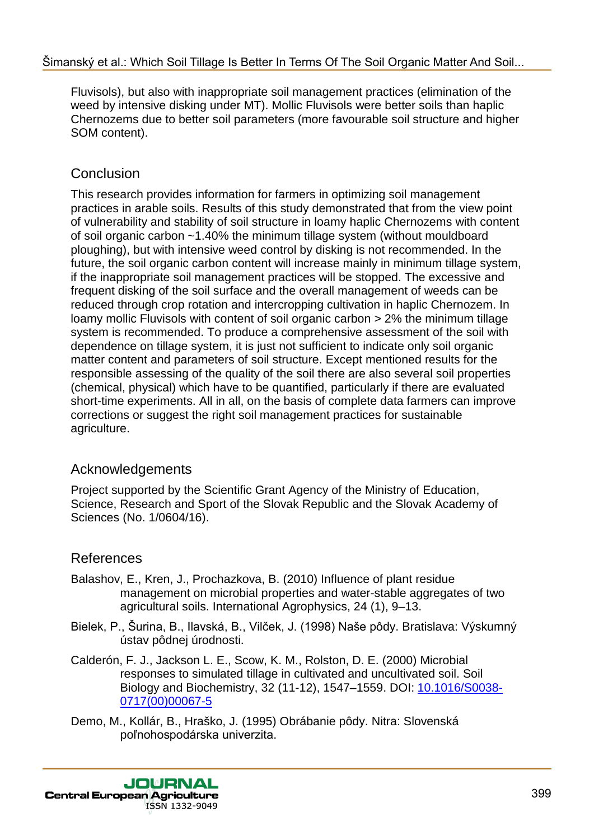Fluvisols), but also with inappropriate soil management practices (elimination of the weed by intensive disking under MT). Mollic Fluvisols were better soils than haplic Chernozems due to better soil parameters (more favourable soil structure and higher SOM content).

## **Conclusion**

This research provides information for farmers in optimizing soil management practices in arable soils. Results of this study demonstrated that from the view point of vulnerability and stability of soil structure in loamy haplic Chernozems with content of soil organic carbon ~1.40% the minimum tillage system (without mouldboard ploughing), but with intensive weed control by disking is not recommended. In the future, the soil organic carbon content will increase mainly in minimum tillage system, if the inappropriate soil management practices will be stopped. The excessive and frequent disking of the soil surface and the overall management of weeds can be reduced through crop rotation and intercropping cultivation in haplic Chernozem. In loamy mollic Fluvisols with content of soil organic carbon > 2% the minimum tillage system is recommended. To produce a comprehensive assessment of the soil with dependence on tillage system, it is just not sufficient to indicate only soil organic matter content and parameters of soil structure. Except mentioned results for the responsible assessing of the quality of the soil there are also several soil properties (chemical, physical) which have to be quantified, particularly if there are evaluated short-time experiments. All in all, on the basis of complete data farmers can improve corrections or suggest the right soil management practices for sustainable agriculture.

### Acknowledgements

Project supported by the Scientific Grant Agency of the Ministry of Education, Science, Research and Sport of the Slovak Republic and the Slovak Academy of Sciences (No. 1/0604/16).

## References

- Balashov, E., Kren, J., Prochazkova, B. (2010) Influence of plant residue management on microbial properties and water-stable aggregates of two agricultural soils. International Agrophysics, 24 (1), 9–13.
- Bielek, P., Šurina, B., Ilavská, B., Vilček, J. (1998) Naše pôdy. Bratislava: Výskumný ústav pôdnej úrodnosti.
- Calderón, F. J., Jackson L. E., Scow, K. M., Rolston, D. E. (2000) Microbial responses to simulated tillage in cultivated and uncultivated soil. Soil Biology and Biochemistry, 32 (11-12), 1547–1559. DOI: 10.1016/S0038- 0717(00)00067-5
- Demo, M., Kollár, B., Hraško, J. (1995) Obrábanie pôdy. Nitra: Slovenská poľnohospodárska univerzita.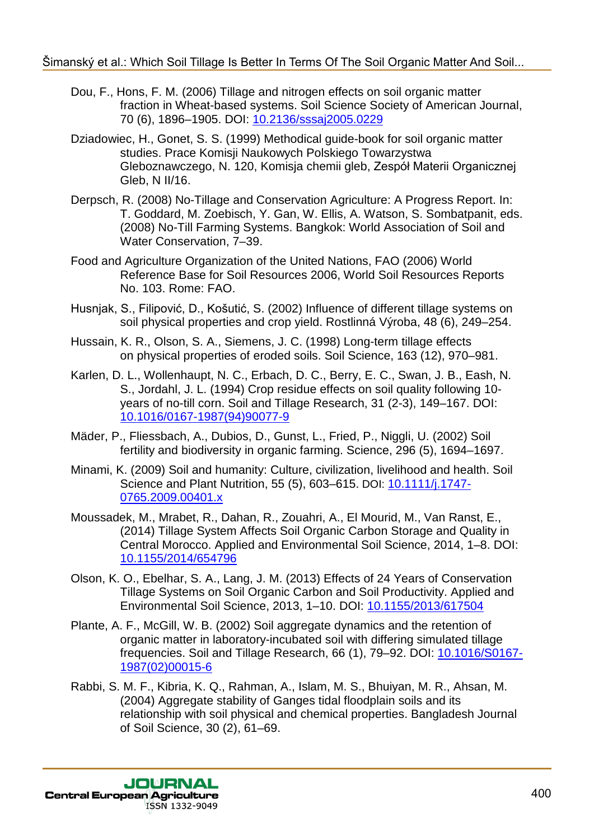- Dou, F., Hons, F. M. (2006) Tillage and nitrogen effects on soil organic matter fraction in Wheat-based systems. Soil Science Society of American Journal, 70 (6), 1896–1905. DOI: 10.2136/sssaj2005.0229
- Dziadowiec, H., Gonet, S. S. (1999) Methodical guide-book for soil organic matter studies. Prace Komisji Naukowych Polskiego Towarzystwa Gleboznawczego, N. 120, Komisja chemii gleb, Zespół Materii Organicznej Gleb, N II/16.
- Derpsch, R. (2008) No-Tillage and Conservation Agriculture: A Progress Report. In: T. Goddard, M. Zoebisch, Y. Gan, W. Ellis, A. Watson, S. Sombatpanit, eds. (2008) No-Till Farming Systems. Bangkok: World Association of Soil and Water Conservation, 7–39.
- Food and Agriculture Organization of the United Nations, FAO (2006) World Reference Base for Soil Resources 2006, World Soil Resources Reports No. 103. Rome: FAO.
- Husnjak, S., Filipović, D., Košutić, S. (2002) Influence of different tillage systems on soil physical properties and crop yield. Rostlinná Výroba, 48 (6), 249–254.
- Hussain, K. R., Olson, S. A., Siemens, J. C. (1998) Long-term tillage effects on physical properties of eroded soils. Soil Science, 163 (12), 970–981.
- Karlen, D. L., Wollenhaupt, N. C., Erbach, D. C., Berry, E. C., Swan, J. B., Eash, N. S., Jordahl, J. L. (1994) Crop residue effects on soil quality following 10 years of no-till corn. Soil and Tillage Research, 31 (2-3), 149–167. DOI: 10.1016/0167-1987(94)90077-9
- Mäder, P., Fliessbach, A., Dubios, D., Gunst, L., Fried, P., Niggli, U. (2002) Soil fertility and biodiversity in organic farming. Science, 296 (5), 1694–1697.
- Minami, K. (2009) Soil and humanity: Culture, civilization, livelihood and health. Soil Science and Plant Nutrition, 55 (5), 603–615. DOI: 10.1111/j.1747- 0765.2009.00401.x
- Moussadek, M., Mrabet, R., Dahan, R., Zouahri, A., El Mourid, M., Van Ranst, E., (2014) Tillage System Affects Soil Organic Carbon Storage and Quality in Central Morocco. Applied and Environmental Soil Science, 2014, 1–8. DOI: 10.1155/2014/654796
- Olson, K. O., Ebelhar, S. A., Lang, J. M. (2013) Effects of 24 Years of Conservation Tillage Systems on Soil Organic Carbon and Soil Productivity. Applied and Environmental Soil Science, 2013, 1–10. DOI: 10.1155/2013/617504
- Plante, A. F., McGill, W. B. (2002) Soil aggregate dynamics and the retention of organic matter in laboratory-incubated soil with differing simulated tillage frequencies. Soil and Tillage Research, 66 (1), 79–92. DOI: 10.1016/S0167- 1987(02)00015-6
- Rabbi, S. M. F., Kibria, K. Q., Rahman, A., Islam, M. S., Bhuiyan, M. R., Ahsan, M. (2004) Aggregate stability of Ganges tidal floodplain soils and its relationship with soil physical and chemical properties. Bangladesh Journal of Soil Science, 30 (2), 61–69.

**JOURNAL Central European Agriculture** ISSN 1332-9049